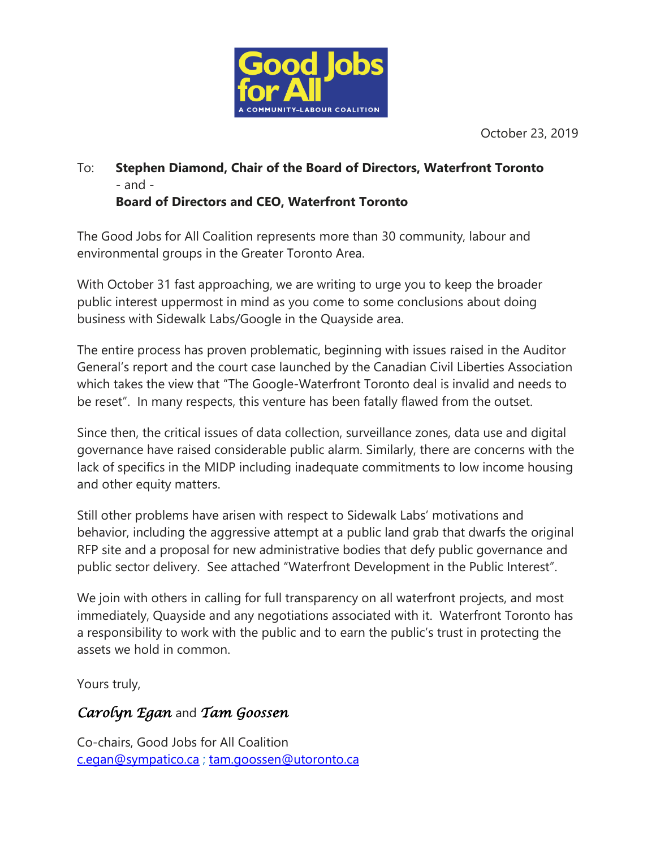

October 23, 2019

## To: **Stephen Diamond, Chair of the Board of Directors, Waterfront Toronto** - and - **Board of Directors and CEO, Waterfront Toronto**

The Good Jobs for All Coalition represents more than 30 community, labour and environmental groups in the Greater Toronto Area.

With October 31 fast approaching, we are writing to urge you to keep the broader public interest uppermost in mind as you come to some conclusions about doing business with Sidewalk Labs/Google in the Quayside area.

The entire process has proven problematic, beginning with issues raised in the Auditor General's report and the court case launched by the Canadian Civil Liberties Association which takes the view that "The Google-Waterfront Toronto deal is invalid and needs to be reset". In many respects, this venture has been fatally flawed from the outset.

Since then, the critical issues of data collection, surveillance zones, data use and digital governance have raised considerable public alarm. Similarly, there are concerns with the lack of specifics in the MIDP including inadequate commitments to low income housing and other equity matters.

Still other problems have arisen with respect to Sidewalk Labs' motivations and behavior, including the aggressive attempt at a public land grab that dwarfs the original RFP site and a proposal for new administrative bodies that defy public governance and public sector delivery. See attached "Waterfront Development in the Public Interest".

We join with others in calling for full transparency on all waterfront projects, and most immediately, Quayside and any negotiations associated with it. Waterfront Toronto has a responsibility to work with the public and to earn the public's trust in protecting the assets we hold in common.

Yours truly,

## *Carolyn Egan* and *Tam Goossen*

Co-chairs, Good Jobs for All Coalition [c.egan@sympatico.ca](mailto:c.egan@sympatico.ca) ; [tam.goossen@utoronto.ca](mailto:tam.goossen@utoronto.ca)